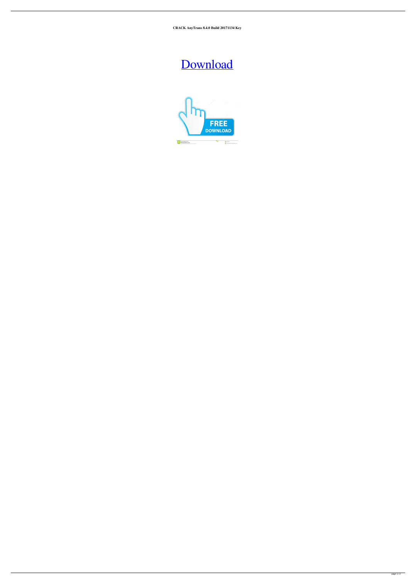**CRACK AnyTrans 8.4.0 Build 20171134 Key**

## [Download](http://evacdir.com/defence/erectors/Q1JBQ0sgQW55VHJhbnMgOC40LjAgQnVpbGQgMjAxNzExMzQgS2V5Q1J/clairify&ZG93bmxvYWR8U1A4TW5BM1kzeDhNVFkxTWpjME1EZzJObng4TWpVM05IeDhLRTBwSUhKbFlXUXRZbXh2WnlCYlJtRnpkQ0JIUlU1ZA/lomi.nanotechnology.scubadiver)